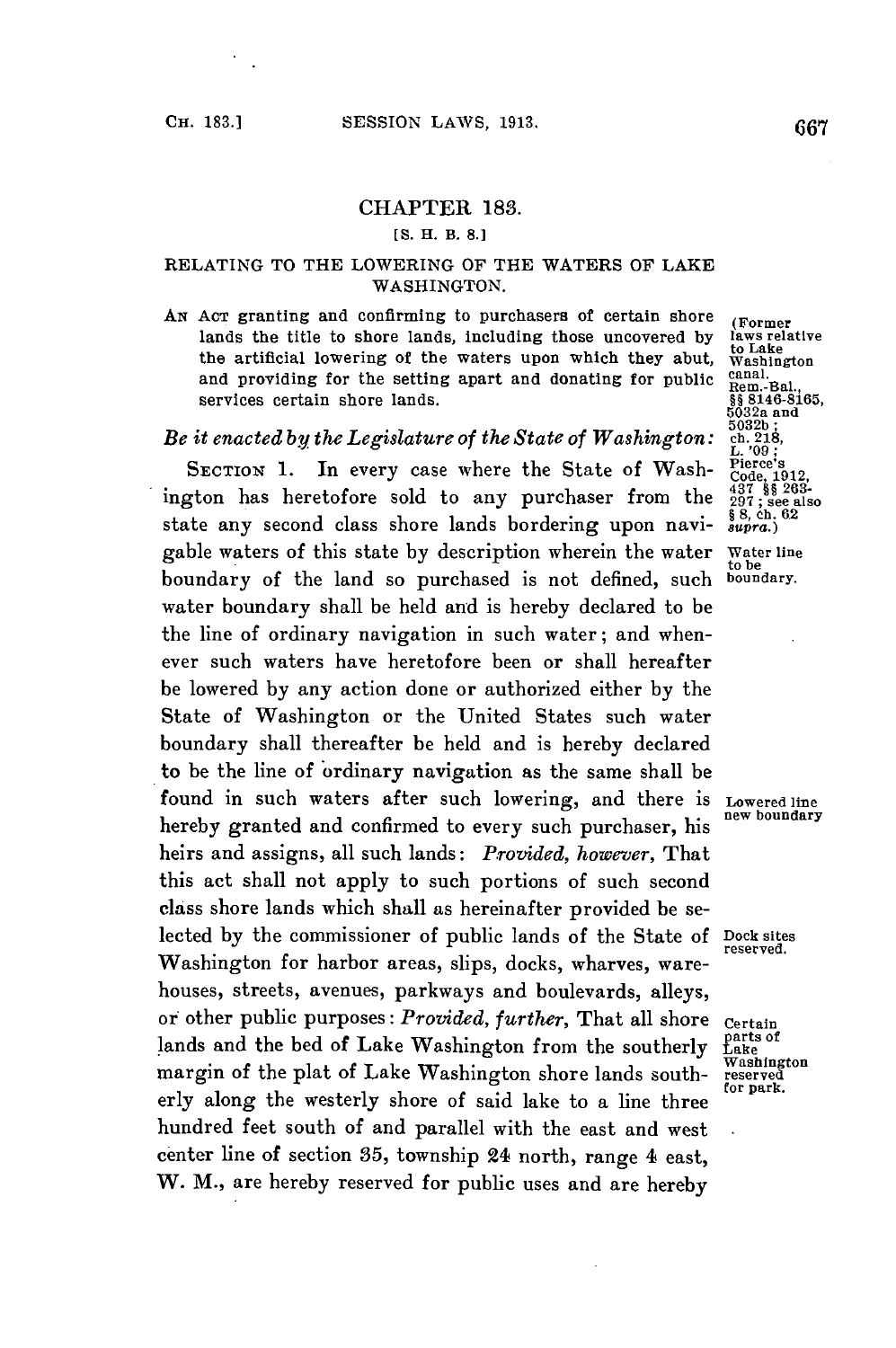## CHAPTER **183.**

## **[S.** H. B. **8.1**

## RELATING TO THE LOWERING OF THE WATERS OF LAKE WASHINGTON.

AN ACT granting and confirming to purchasers of certain shore (Former<br>lands the title to shore lands, including those uncovered by laws relative lands the title to shore lands, including those uncovered by laws relative the artificial lowering of the waters upon which they abut, Washington the artificial lowering of the waters upon which they abut, *Washington*<br>and providing for the setting apart and donating for public canal.<br>services certain shore lands.<br> $\frac{888146-8165}{6032a \text{ and}}$ and providing for the setting apart and donating for public services certain shore lands.<br>it enacted by the Legislature of the State of Washington: 5032a and<br>it enacted by the Legislature of the State of Washington: ch.218,<br>ixcryon: 1 In every case where the State of Wash.

## *Be it enacted by the Legislature of the State of Washington:*

SECTION 1. In every case where the State of Wash-  $^{26}$ Code, 1912, ington has heretofore sold to any purchaser from the  $^{437}_{297}$ ; <sup>482</sup>, <sup>482</sup> 268-<br>state any second class shore lands bordering upon navi-  $^{89}_{297}$ ; <sup>8</sup> state any second class shore lands bordering upon navigable waters of this state **by** description wherein the water Water line boundary of the land so purchased is not defined, such water boundary shall be held and is hereby declared to be the line of ordinary navigation in such water; and whenever such waters have heretofore been or shall hereafter be lowered **by** any action done or authorized either **by** the State of Washington or the United States such water boundary shall thereafter be held and is hereby declared to be the line of ordinary navigation as the same shall be found in such waters after such lowering, and there is **Lowered line** hereby granted and confirmed to every such purchaser, his heirs and assigns, all such lands: *Provided, however,* That this act shall not apply to such portions of such second class shore lands which shall as hereinafter provided be selected **by** the commissioner of public lands of the State **of** Dock sites Washington for harbor areas, slips, docks, wharves, warehouses, streets, avenues, parkways and boulevards, alleys, or other public purposes: *Provided, further*, That all shore certain<br>lands and the bed of Lake Washington from the southerly flake lands and the bed of Lake Washington from the southerly  $\frac{\text{parts or}}{\text{Kashington}}$ margin of the plat of Lake Washington shore lands southerly along the westerly shore of said lake to a line three hundred feet south of and parallel with the east and west center line of section **35,** township 24 north, range 4 east, W. M., are hereby reserved for public uses and are hereby

to be<br>boundary.

**reserved.**